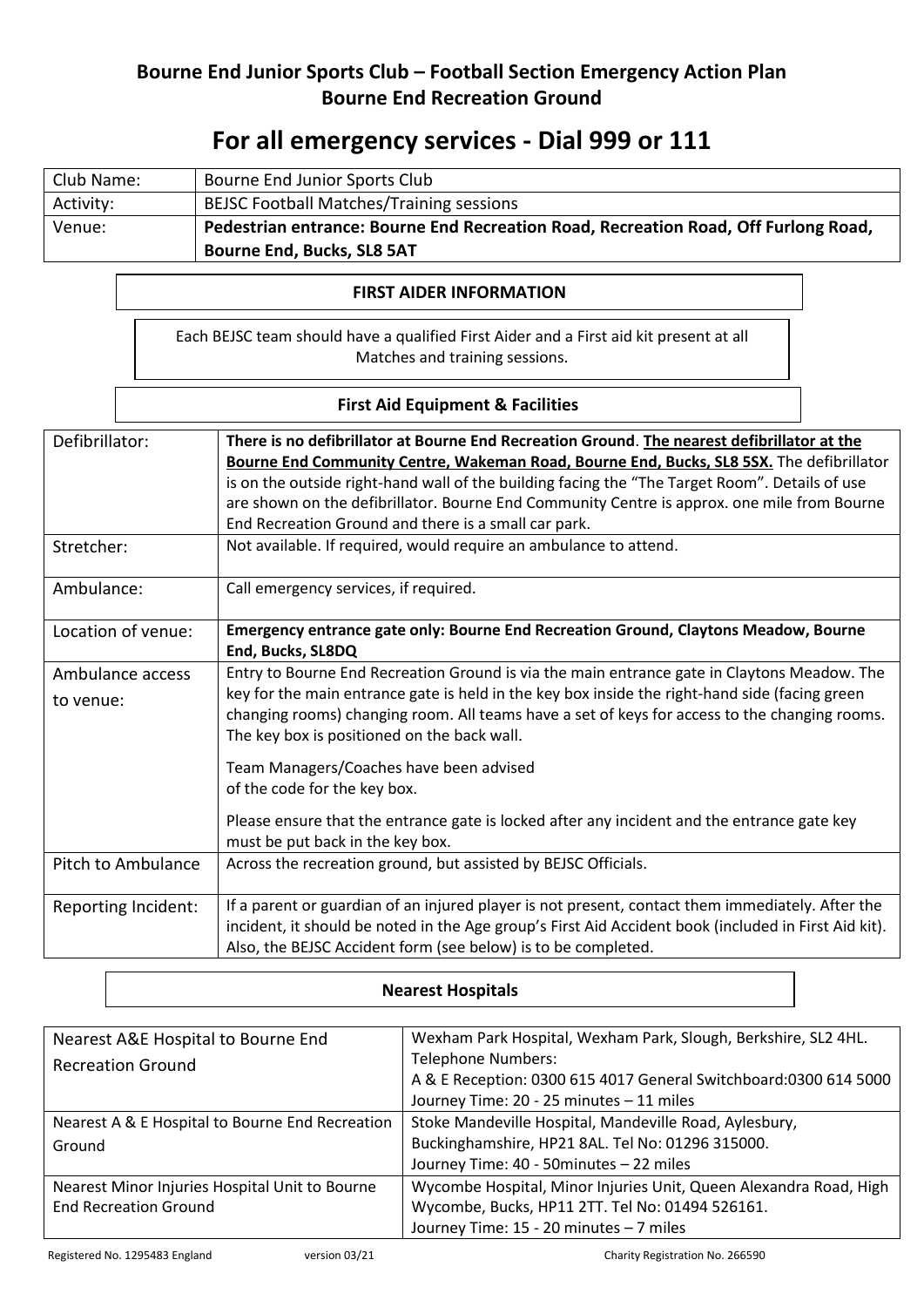## **Bourne End Junior Sports Club – Football Section Emergency Action Plan Bourne End Recreation Ground**

# **For all emergency services - Dial 999 or 111**

| Club Name: | Bourne End Junior Sports Club                                                       |  |
|------------|-------------------------------------------------------------------------------------|--|
| Activity:  | <b>BEJSC Football Matches/Training sessions</b>                                     |  |
| Venue:     | Pedestrian entrance: Bourne End Recreation Road, Recreation Road, Off Furlong Road, |  |
|            | <b>Bourne End, Bucks, SL8 5AT</b>                                                   |  |

## **FIRST AIDER INFORMATION**

Each BEJSC team should have a qualified First Aider and a First aid kit present at all Matches and training sessions.

### **First Aid Equipment & Facilities**

| Defibrillator:                | There is no defibrillator at Bourne End Recreation Ground. The nearest defibrillator at the<br>Bourne End Community Centre, Wakeman Road, Bourne End, Bucks, SL8 5SX. The defibrillator<br>is on the outside right-hand wall of the building facing the "The Target Room". Details of use<br>are shown on the defibrillator. Bourne End Community Centre is approx. one mile from Bourne<br>End Recreation Ground and there is a small car park. |  |
|-------------------------------|--------------------------------------------------------------------------------------------------------------------------------------------------------------------------------------------------------------------------------------------------------------------------------------------------------------------------------------------------------------------------------------------------------------------------------------------------|--|
| Stretcher:                    | Not available. If required, would require an ambulance to attend.                                                                                                                                                                                                                                                                                                                                                                                |  |
| Ambulance:                    | Call emergency services, if required.                                                                                                                                                                                                                                                                                                                                                                                                            |  |
| Location of venue:            | Emergency entrance gate only: Bourne End Recreation Ground, Claytons Meadow, Bourne<br>End, Bucks, SL8DQ                                                                                                                                                                                                                                                                                                                                         |  |
| Ambulance access<br>to venue: | Entry to Bourne End Recreation Ground is via the main entrance gate in Claytons Meadow. The<br>key for the main entrance gate is held in the key box inside the right-hand side (facing green<br>changing rooms) changing room. All teams have a set of keys for access to the changing rooms.<br>The key box is positioned on the back wall.                                                                                                    |  |
|                               | Team Managers/Coaches have been advised<br>of the code for the key box.<br>Please ensure that the entrance gate is locked after any incident and the entrance gate key<br>must be put back in the key box.                                                                                                                                                                                                                                       |  |
| Pitch to Ambulance            | Across the recreation ground, but assisted by BEJSC Officials.                                                                                                                                                                                                                                                                                                                                                                                   |  |
| Reporting Incident:           | If a parent or guardian of an injured player is not present, contact them immediately. After the<br>incident, it should be noted in the Age group's First Aid Accident book (included in First Aid kit).<br>Also, the BEJSC Accident form (see below) is to be completed.                                                                                                                                                                        |  |

#### **Nearest Hospitals**

| Nearest A&E Hospital to Bourne End              | Wexham Park Hospital, Wexham Park, Slough, Berkshire, SL2 4HL.    |
|-------------------------------------------------|-------------------------------------------------------------------|
| <b>Recreation Ground</b>                        | <b>Telephone Numbers:</b>                                         |
|                                                 | A & E Reception: 0300 615 4017 General Switchboard: 0300 614 5000 |
|                                                 | Journey Time: 20 - 25 minutes - 11 miles                          |
| Nearest A & E Hospital to Bourne End Recreation | Stoke Mandeville Hospital, Mandeville Road, Aylesbury,            |
| Ground                                          | Buckinghamshire, HP21 8AL. Tel No: 01296 315000.                  |
|                                                 | Journey Time: 40 - 50minutes - 22 miles                           |
| Nearest Minor Injuries Hospital Unit to Bourne  | Wycombe Hospital, Minor Injuries Unit, Queen Alexandra Road, High |
| <b>End Recreation Ground</b>                    | Wycombe, Bucks, HP11 2TT. Tel No: 01494 526161.                   |
|                                                 | Journey Time: 15 - 20 minutes - 7 miles                           |